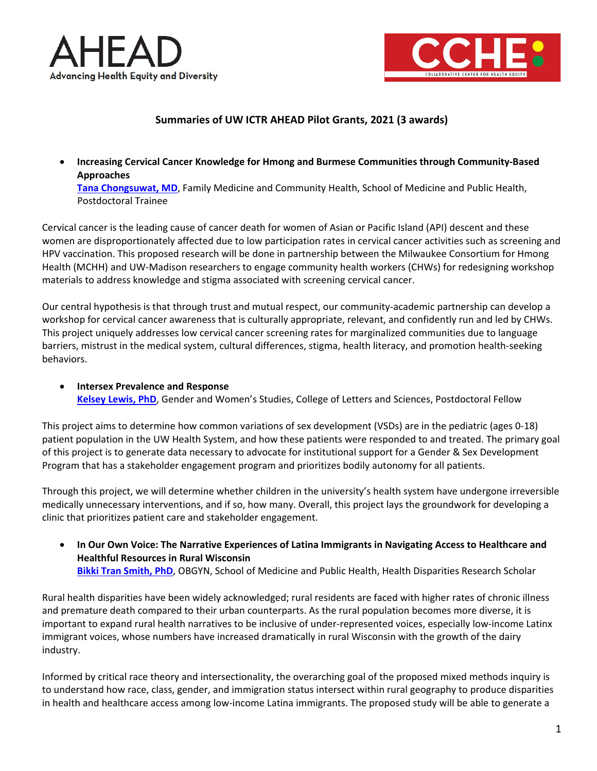



## **Summaries of UW ICTR AHEAD Pilot Grants, 2021 (3 awards)**

• **Increasing Cervical Cancer Knowledge for Hmong and Burmese Communities through Community-Based Approaches [Tana Chongsuwat, MD](https://www.fammed.wisc.edu/directory/18902/)**, Family Medicine and Community Health, School of Medicine and Public Health,

Postdoctoral Trainee

Cervical cancer is the leading cause of cancer death for women of Asian or Pacific Island (API) descent and these women are disproportionately affected due to low participation rates in cervical cancer activities such as screening and HPV vaccination. This proposed research will be done in partnership between the Milwaukee Consortium for Hmong Health (MCHH) and UW-Madison researchers to engage community health workers (CHWs) for redesigning workshop materials to address knowledge and stigma associated with screening cervical cancer.

Our central hypothesis is that through trust and mutual respect, our community-academic partnership can develop a workshop for cervical cancer awareness that is culturally appropriate, relevant, and confidently run and led by CHWs. This project uniquely addresses low cervical cancer screening rates for marginalized communities due to language barriers, mistrust in the medical system, cultural differences, stigma, health literacy, and promotion health-seeking behaviors.

• **Intersex Prevalence and Response [Kelsey Lewis, PhD](https://gws.wisc.edu/staff/lewis-kelsey/)**, Gender and Women's Studies, College of Letters and Sciences, Postdoctoral Fellow

This project aims to determine how common variations of sex development (VSDs) are in the pediatric (ages 0-18) patient population in the UW Health System, and how these patients were responded to and treated. The primary goal of this project is to generate data necessary to advocate for institutional support for a Gender & Sex Development Program that has a stakeholder engagement program and prioritizes bodily autonomy for all patients.

Through this project, we will determine whether children in the university's health system have undergone irreversible medically unnecessary interventions, and if so, how many. Overall, this project lays the groundwork for developing a clinic that prioritizes patient care and stakeholder engagement.

• **In Our Own Voice: The Narrative Experiences of Latina Immigrants in Navigating Access to Healthcare and Healthful Resources in Rural Wisconsin [Bikki Tran Smith, PhD](https://www.obgyn.wisc.edu/Directory/Profile/transmithwi)**, OBGYN, School of Medicine and Public Health, Health Disparities Research Scholar

Rural health disparities have been widely acknowledged; rural residents are faced with higher rates of chronic illness and premature death compared to their urban counterparts. As the rural population becomes more diverse, it is important to expand rural health narratives to be inclusive of under-represented voices, especially low-income Latinx immigrant voices, whose numbers have increased dramatically in rural Wisconsin with the growth of the dairy industry.

Informed by critical race theory and intersectionality, the overarching goal of the proposed mixed methods inquiry is to understand how race, class, gender, and immigration status intersect within rural geography to produce disparities in health and healthcare access among low-income Latina immigrants. The proposed study will be able to generate a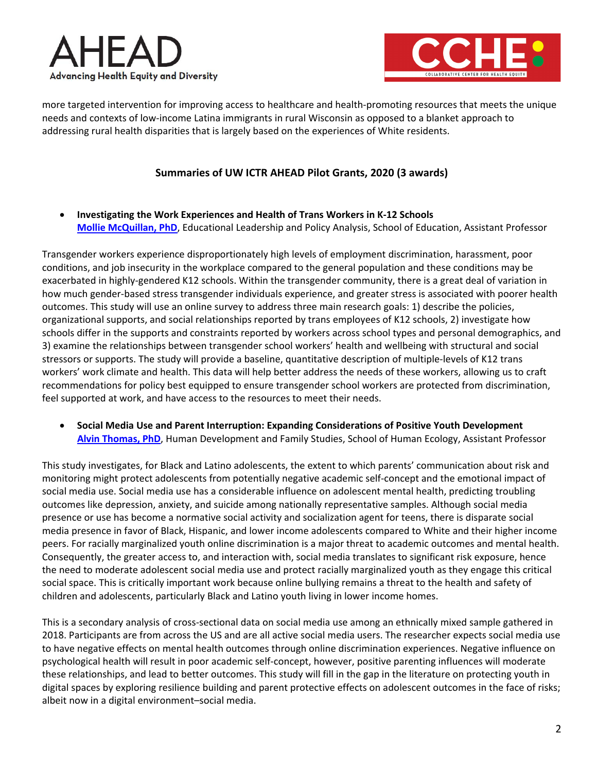



more targeted intervention for improving access to healthcare and health-promoting resources that meets the unique needs and contexts of low-income Latina immigrants in rural Wisconsin as opposed to a blanket approach to addressing rural health disparities that is largely based on the experiences of White residents.

## **Summaries of UW ICTR AHEAD Pilot Grants, 2020 (3 awards)**

• **Investigating the Work Experiences and Health of Trans Workers in K-12 Schools [Mollie McQuillan, PhD](https://elpa.qa.admin.education.wisc.edu/fac-staff/mcquillan-mollie/)**, Educational Leadership and Policy Analysis, School of Education, Assistant Professor

Transgender workers experience disproportionately high levels of employment discrimination, harassment, poor conditions, and job insecurity in the workplace compared to the general population and these conditions may be exacerbated in highly-gendered K12 schools. Within the transgender community, there is a great deal of variation in how much gender-based stress transgender individuals experience, and greater stress is associated with poorer health outcomes. This study will use an online survey to address three main research goals: 1) describe the policies, organizational supports, and social relationships reported by trans employees of K12 schools, 2) investigate how schools differ in the supports and constraints reported by workers across school types and personal demographics, and 3) examine the relationships between transgender school workers' health and wellbeing with structural and social stressors or supports. The study will provide a baseline, quantitative description of multiple-levels of K12 trans workers' work climate and health. This data will help better address the needs of these workers, allowing us to craft recommendations for policy best equipped to ensure transgender school workers are protected from discrimination, feel supported at work, and have access to the resources to meet their needs.

• **Social Media Use and Parent Interruption: Expanding Considerations of Positive Youth Development [Alvin Thomas, PhD](https://sohe.wisc.edu/staff/alvin-thomas/)**, Human Development and Family Studies, School of Human Ecology, Assistant Professor

This study investigates, for Black and Latino adolescents, the extent to which parents' communication about risk and monitoring might protect adolescents from potentially negative academic self-concept and the emotional impact of social media use. Social media use has a considerable influence on adolescent mental health, predicting troubling outcomes like depression, anxiety, and suicide among nationally representative samples. Although social media presence or use has become a normative social activity and socialization agent for teens, there is disparate social media presence in favor of Black, Hispanic, and lower income adolescents compared to White and their higher income peers. For racially marginalized youth online discrimination is a major threat to academic outcomes and mental health. Consequently, the greater access to, and interaction with, social media translates to significant risk exposure, hence the need to moderate adolescent social media use and protect racially marginalized youth as they engage this critical social space. This is critically important work because online bullying remains a threat to the health and safety of children and adolescents, particularly Black and Latino youth living in lower income homes.

This is a secondary analysis of cross-sectional data on social media use among an ethnically mixed sample gathered in 2018. Participants are from across the US and are all active social media users. The researcher expects social media use to have negative effects on mental health outcomes through online discrimination experiences. Negative influence on psychological health will result in poor academic self-concept, however, positive parenting influences will moderate these relationships, and lead to better outcomes. This study will fill in the gap in the literature on protecting youth in digital spaces by exploring resilience building and parent protective effects on adolescent outcomes in the face of risks; albeit now in a digital environment–social media.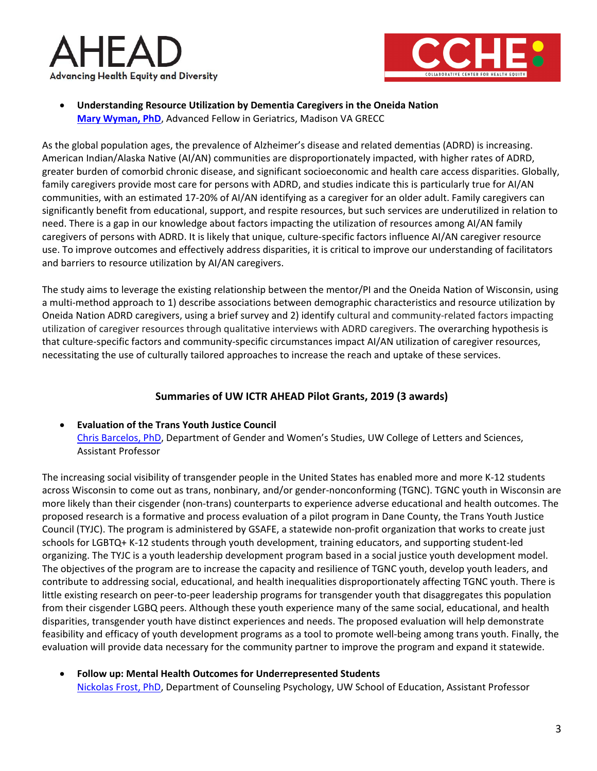



• **Understanding Resource Utilization by Dementia Caregivers in the Oneida Nation [Mary Wyman, PhD](https://www.linkedin.com/in/mary-wyman-2a6a4936/)**, Advanced Fellow in Geriatrics, Madison VA GRECC

As the global population ages, the prevalence of Alzheimer's disease and related dementias (ADRD) is increasing. American Indian/Alaska Native (AI/AN) communities are disproportionately impacted, with higher rates of ADRD, greater burden of comorbid chronic disease, and significant socioeconomic and health care access disparities. Globally, family caregivers provide most care for persons with ADRD, and studies indicate this is particularly true for AI/AN communities, with an estimated 17-20% of AI/AN identifying as a caregiver for an older adult. Family caregivers can significantly benefit from educational, support, and respite resources, but such services are underutilized in relation to need. There is a gap in our knowledge about factors impacting the utilization of resources among AI/AN family caregivers of persons with ADRD. It is likely that unique, culture-specific factors influence AI/AN caregiver resource use. To improve outcomes and effectively address disparities, it is critical to improve our understanding of facilitators and barriers to resource utilization by AI/AN caregivers.

The study aims to leverage the existing relationship between the mentor/PI and the Oneida Nation of Wisconsin, using a multi-method approach to 1) describe associations between demographic characteristics and resource utilization by Oneida Nation ADRD caregivers, using a brief survey and 2) identify cultural and community-related factors impacting utilization of caregiver resources through qualitative interviews with ADRD caregivers. The overarching hypothesis is that culture-specific factors and community-specific circumstances impact AI/AN utilization of caregiver resources, necessitating the use of culturally tailored approaches to increase the reach and uptake of these services.

# **Summaries of UW ICTR AHEAD Pilot Grants, 2019 (3 awards)**

## • **Evaluation of the Trans Youth Justice Council** [Chris Barcelos, PhD,](https://www.umb.edu/academics/cla/faculty/chris_barcelos) Department of Gender and Women's Studies, UW College of Letters and Sciences, Assistant Professor

The increasing social visibility of transgender people in the United States has enabled more and more K-12 students across Wisconsin to come out as trans, nonbinary, and/or gender-nonconforming (TGNC). TGNC youth in Wisconsin are more likely than their cisgender (non-trans) counterparts to experience adverse educational and health outcomes. The proposed research is a formative and process evaluation of a pilot program in Dane County, the Trans Youth Justice Council (TYJC). The program is administered by GSAFE, a statewide non-profit organization that works to create just schools for LGBTQ+ K-12 students through youth development, training educators, and supporting student-led organizing. The TYJC is a youth leadership development program based in a social justice youth development model. The objectives of the program are to increase the capacity and resilience of TGNC youth, develop youth leaders, and contribute to addressing social, educational, and health inequalities disproportionately affecting TGNC youth. There is little existing research on peer-to-peer leadership programs for transgender youth that disaggregates this population from their cisgender LGBQ peers. Although these youth experience many of the same social, educational, and health disparities, transgender youth have distinct experiences and needs. The proposed evaluation will help demonstrate feasibility and efficacy of youth development programs as a tool to promote well-being among trans youth. Finally, the evaluation will provide data necessary for the community partner to improve the program and expand it statewide.

• **Follow up: Mental Health Outcomes for Underrepresented Students** [Nickolas Frost, PhD,](https://counselingpsych.education.wisc.edu/cp/people/faculty/nick-frost) Department of Counseling Psychology, UW School of Education, Assistant Professor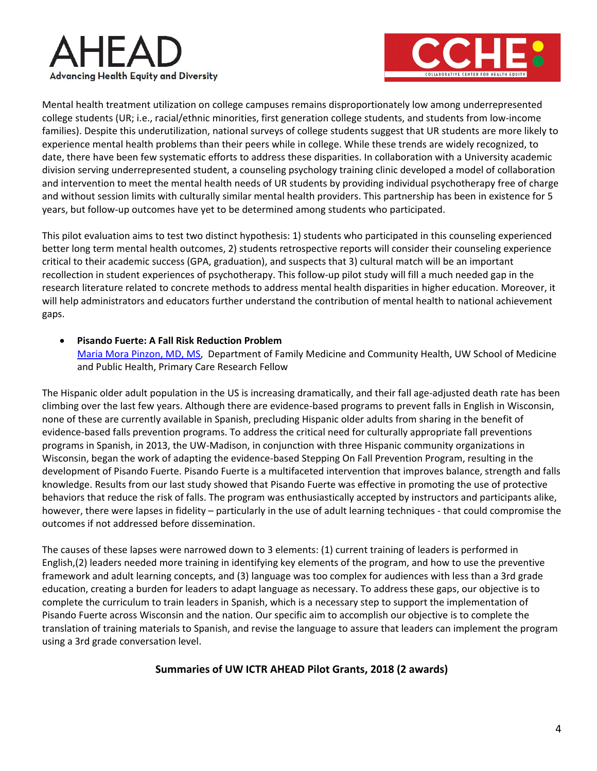



Mental health treatment utilization on college campuses remains disproportionately low among underrepresented college students (UR; i.e., racial/ethnic minorities, first generation college students, and students from low-income families). Despite this underutilization, national surveys of college students suggest that UR students are more likely to experience mental health problems than their peers while in college. While these trends are widely recognized, to date, there have been few systematic efforts to address these disparities. In collaboration with a University academic division serving underrepresented student, a counseling psychology training clinic developed a model of collaboration and intervention to meet the mental health needs of UR students by providing individual psychotherapy free of charge and without session limits with culturally similar mental health providers. This partnership has been in existence for 5 years, but follow-up outcomes have yet to be determined among students who participated.

This pilot evaluation aims to test two distinct hypothesis: 1) students who participated in this counseling experienced better long term mental health outcomes, 2) students retrospective reports will consider their counseling experience critical to their academic success (GPA, graduation), and suspects that 3) cultural match will be an important recollection in student experiences of psychotherapy. This follow-up pilot study will fill a much needed gap in the research literature related to concrete methods to address mental health disparities in higher education. Moreover, it will help administrators and educators further understand the contribution of mental health to national achievement gaps.

• **Pisando Fuerte: A Fall Risk Reduction Problem**

[Maria Mora Pinzon, MD, MS,](https://www.fammed.wisc.edu/directory/18778/) Department of Family Medicine and Community Health, UW School of Medicine and Public Health, Primary Care Research Fellow

The Hispanic older adult population in the US is increasing dramatically, and their fall age-adjusted death rate has been climbing over the last few years. Although there are evidence-based programs to prevent falls in English in Wisconsin, none of these are currently available in Spanish, precluding Hispanic older adults from sharing in the benefit of evidence-based falls prevention programs. To address the critical need for culturally appropriate fall preventions programs in Spanish, in 2013, the UW-Madison, in conjunction with three Hispanic community organizations in Wisconsin, began the work of adapting the evidence-based Stepping On Fall Prevention Program, resulting in the development of Pisando Fuerte. Pisando Fuerte is a multifaceted intervention that improves balance, strength and falls knowledge. Results from our last study showed that Pisando Fuerte was effective in promoting the use of protective behaviors that reduce the risk of falls. The program was enthusiastically accepted by instructors and participants alike, however, there were lapses in fidelity – particularly in the use of adult learning techniques - that could compromise the outcomes if not addressed before dissemination.

The causes of these lapses were narrowed down to 3 elements: (1) current training of leaders is performed in English,(2) leaders needed more training in identifying key elements of the program, and how to use the preventive framework and adult learning concepts, and (3) language was too complex for audiences with less than a 3rd grade education, creating a burden for leaders to adapt language as necessary. To address these gaps, our objective is to complete the curriculum to train leaders in Spanish, which is a necessary step to support the implementation of Pisando Fuerte across Wisconsin and the nation. Our specific aim to accomplish our objective is to complete the translation of training materials to Spanish, and revise the language to assure that leaders can implement the program using a 3rd grade conversation level.

## **Summaries of UW ICTR AHEAD Pilot Grants, 2018 (2 awards)**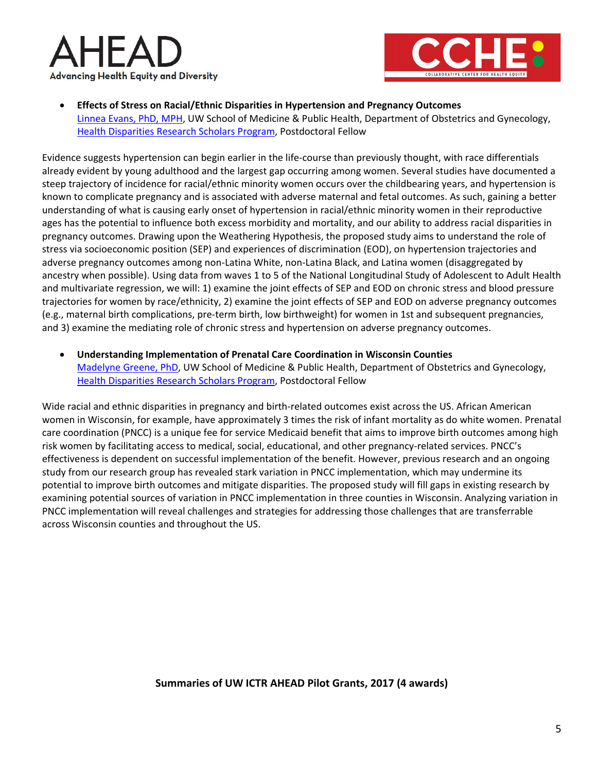



• **Effects of Stress on Racial/Ethnic Disparities in Hypertension and Pregnancy Outcomes** [Linnea Evans, PhD, MPH,](https://www.obgyn.wisc.edu/directory/detail.aspx?id=386) UW School of Medicine & Public Health, Department of Obstetrics and Gynecology, [Health Disparities Research Scholars Program,](http://obgyn.wisc.edu/CWHDR/HDRS/default.aspx) Postdoctoral Fellow

Evidence suggests hypertension can begin earlier in the life-course than previously thought, with race differentials already evident by young adulthood and the largest gap occurring among women. Several studies have documented a steep trajectory of incidence for racial/ethnic minority women occurs over the childbearing years, and hypertension is known to complicate pregnancy and is associated with adverse maternal and fetal outcomes. As such, gaining a better understanding of what is causing early onset of hypertension in racial/ethnic minority women in their reproductive ages has the potential to influence both excess morbidity and mortality, and our ability to address racial disparities in pregnancy outcomes. Drawing upon the Weathering Hypothesis, the proposed study aims to understand the role of stress via socioeconomic position (SEP) and experiences of discrimination (EOD), on hypertension trajectories and adverse pregnancy outcomes among non-Latina White, non-Latina Black, and Latina women (disaggregated by ancestry when possible). Using data from waves 1 to 5 of the National Longitudinal Study of Adolescent to Adult Health and multivariate regression, we will: 1) examine the joint effects of SEP and EOD on chronic stress and blood pressure trajectories for women by race/ethnicity, 2) examine the joint effects of SEP and EOD on adverse pregnancy outcomes (e.g., maternal birth complications, pre-term birth, low birthweight) for women in 1st and subsequent pregnancies, and 3) examine the mediating role of chronic stress and hypertension on adverse pregnancy outcomes.

• **Understanding Implementation of Prenatal Care Coordination in Wisconsin Counties** [Madelyne Greene, PhD,](https://www.obgyn.wisc.edu/directory/detail.aspx?id=384) UW School of Medicine & Public Health, Department of Obstetrics and Gynecology, [Health Disparities Research Scholars Program,](http://obgyn.wisc.edu/CWHDR/HDRS/default.aspx) Postdoctoral Fellow

Wide racial and ethnic disparities in pregnancy and birth-related outcomes exist across the US. African American women in Wisconsin, for example, have approximately 3 times the risk of infant mortality as do white women. Prenatal care coordination (PNCC) is a unique fee for service Medicaid benefit that aims to improve birth outcomes among high risk women by facilitating access to medical, social, educational, and other pregnancy-related services. PNCC's effectiveness is dependent on successful implementation of the benefit. However, previous research and an ongoing study from our research group has revealed stark variation in PNCC implementation, which may undermine its potential to improve birth outcomes and mitigate disparities. The proposed study will fill gaps in existing research by examining potential sources of variation in PNCC implementation in three counties in Wisconsin. Analyzing variation in PNCC implementation will reveal challenges and strategies for addressing those challenges that are transferrable across Wisconsin counties and throughout the US.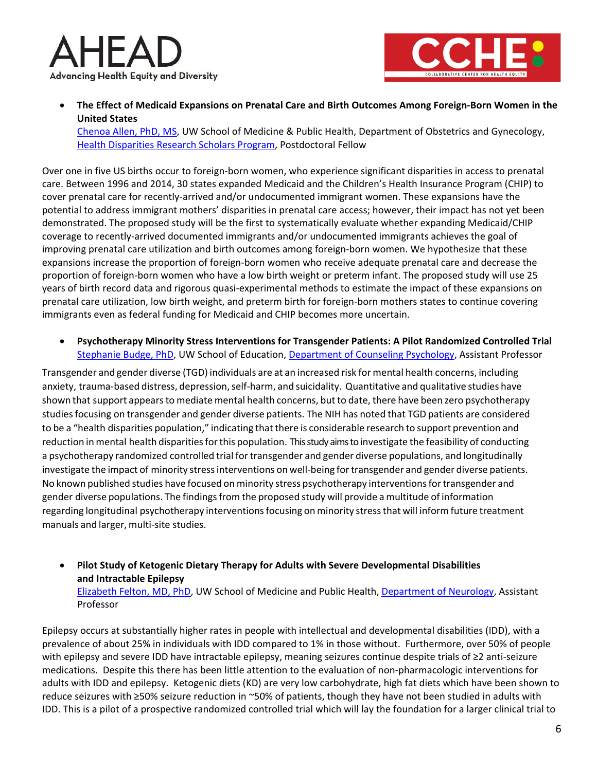



• **The Effect of Medicaid Expansions on Prenatal Care and Birth Outcomes Among Foreign-Born Women in the United States**

[Chenoa Allen, PhD, MS,](http://obgyn.wisc.edu/directory/detail.aspx?id=320) UW School of Medicine & Public Health, Department of Obstetrics and Gynecology, [Health Disparities Research Scholars Program,](http://obgyn.wisc.edu/CWHDR/HDRS/default.aspx) Postdoctoral Fellow

Over one in five US births occur to foreign-born women, who experience significant disparities in access to prenatal care. Between 1996 and 2014, 30 states expanded Medicaid and the Children's Health Insurance Program (CHIP) to cover prenatal care for recently-arrived and/or undocumented immigrant women. These expansions have the potential to address immigrant mothers' disparities in prenatal care access; however, their impact has not yet been demonstrated. The proposed study will be the first to systematically evaluate whether expanding Medicaid/CHIP coverage to recently-arrived documented immigrants and/or undocumented immigrants achieves the goal of improving prenatal care utilization and birth outcomes among foreign-born women. We hypothesize that these expansions increase the proportion of foreign-born women who receive adequate prenatal care and decrease the proportion of foreign-born women who have a low birth weight or preterm infant. The proposed study will use 25 years of birth record data and rigorous quasi-experimental methods to estimate the impact of these expansions on prenatal care utilization, low birth weight, and preterm birth for foreign-born mothers states to continue covering immigrants even as federal funding for Medicaid and CHIP becomes more uncertain.

• **Psychotherapy Minority Stress Interventions for Transgender Patients: A Pilot Randomized Controlled Trial** [Stephanie Budge, PhD,](https://counselingpsych.education.wisc.edu/cp/people/faculty/stephanie-l-budge) UW School of Education, [Department of Counseling Psychology,](https://counselingpsych.education.wisc.edu/cp/about) Assistant Professor

Transgender and gender diverse (TGD) individuals are at an increased risk for mental health concerns, including anxiety, trauma-based distress, depression, self-harm, and suicidality. Quantitative and qualitative studies have shown that support appears to mediate mental health concerns, but to date, there have been zero psychotherapy studiesfocusing on transgender and gender diverse patients. The NIH has noted that TGD patients are considered to be a "health disparities population," indicating that there is considerable research to support prevention and reduction in mental health disparities for this population. This study aims to investigate the feasibility of conducting a psychotherapy randomized controlled trial for transgender and gender diverse populations, and longitudinally investigate the impact of minority stressinterventions on well-being fortransgender and gender diverse patients. No known published studies have focused on minority stress psychotherapy interventions for transgender and gender diverse populations. The findingsfrom the proposed study will provide a multitude of information regarding longitudinal psychotherapy interventionsfocusing on minority stressthat will inform future treatment manuals and larger, multi-site studies.

• **Pilot Study of Ketogenic Dietary Therapy for Adults with Severe Developmental Disabilities and Intractable Epilepsy**  [Elizabeth Felton, MD, PhD,](https://www.neurology.wisc.edu/faculty-and-staff/profiles/elizabeth-felton-md-phd) UW School of Medicine and Public Health, [Department of Neurology,](https://www.neurology.wisc.edu/) Assistant Professor

Epilepsy occurs at substantially higher rates in people with intellectual and developmental disabilities (IDD), with a prevalence of about 25% in individuals with IDD compared to 1% in those without. Furthermore, over 50% of people with epilepsy and severe IDD have intractable epilepsy, meaning seizures continue despite trials of ≥2 anti-seizure medications. Despite this there has been little attention to the evaluation of non-pharmacologic interventions for adults with IDD and epilepsy. Ketogenic diets (KD) are very low carbohydrate, high fat diets which have been shown to reduce seizures with ≥50% seizure reduction in ~50% of patients, though they have not been studied in adults with IDD. This is a pilot of a prospective randomized controlled trial which will lay the foundation for a larger clinical trial to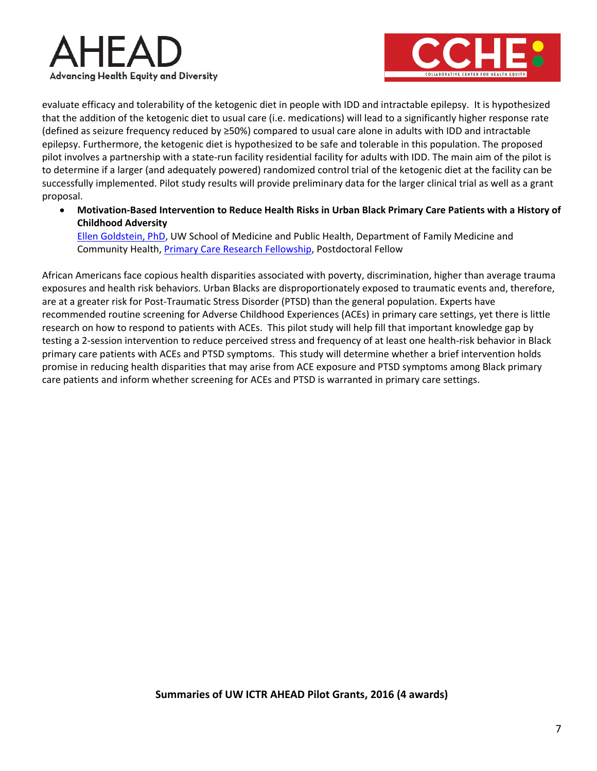



evaluate efficacy and tolerability of the ketogenic diet in people with IDD and intractable epilepsy. It is hypothesized that the addition of the ketogenic diet to usual care (i.e. medications) will lead to a significantly higher response rate (defined as seizure frequency reduced by ≥50%) compared to usual care alone in adults with IDD and intractable epilepsy. Furthermore, the ketogenic diet is hypothesized to be safe and tolerable in this population. The proposed pilot involves a partnership with a state-run facility residential facility for adults with IDD. The main aim of the pilot is to determine if a larger (and adequately powered) randomized control trial of the ketogenic diet at the facility can be successfully implemented. Pilot study results will provide preliminary data for the larger clinical trial as well as a grant proposal.

• **Motivation-Based Intervention to Reduce Health Risks in Urban Black Primary Care Patients with a History of Childhood Adversity** 

[Ellen Goldstein, PhD,](https://www.fammed.wisc.edu/directory/18105/) UW School of Medicine and Public Health, Department of Family Medicine and Community Health, [Primary Care Research Fellowship,](http://www.fammed.wisc.edu/fellowships/primary-care-research/) Postdoctoral Fellow

African Americans face copious health disparities associated with poverty, discrimination, higher than average trauma exposures and health risk behaviors. Urban Blacks are disproportionately exposed to traumatic events and, therefore, are at a greater risk for Post-Traumatic Stress Disorder (PTSD) than the general population. Experts have recommended routine screening for Adverse Childhood Experiences (ACEs) in primary care settings, yet there is little research on how to respond to patients with ACEs. This pilot study will help fill that important knowledge gap by testing a 2-session intervention to reduce perceived stress and frequency of at least one health-risk behavior in Black primary care patients with ACEs and PTSD symptoms. This study will determine whether a brief intervention holds promise in reducing health disparities that may arise from ACE exposure and PTSD symptoms among Black primary care patients and inform whether screening for ACEs and PTSD is warranted in primary care settings.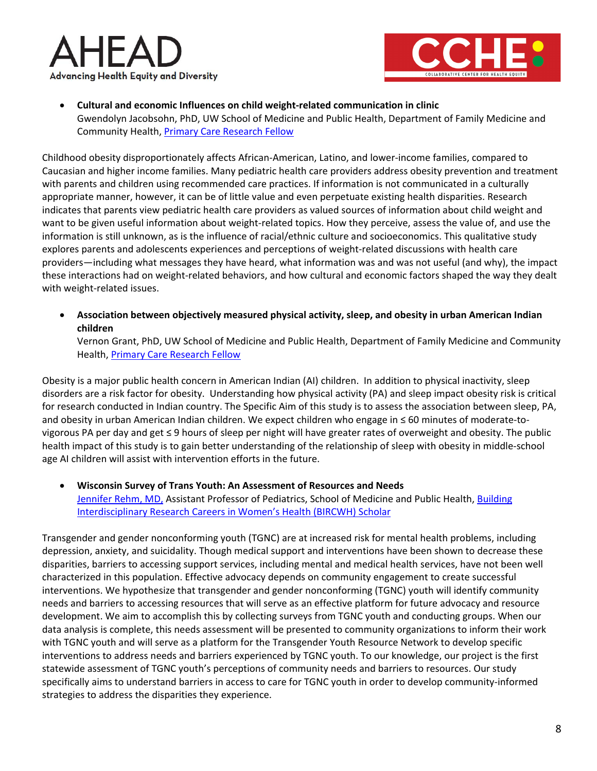



• **Cultural and economic Influences on child weight-related communication in clinic** Gwendolyn Jacobsohn, PhD, UW School of Medicine and Public Health, Department of Family Medicine and Community Health, [Primary Care Research Fellow](http://www.fammed.wisc.edu/fellowships/primary-care-research/)

Childhood obesity disproportionately affects African-American, Latino, and lower-income families, compared to Caucasian and higher income families. Many pediatric health care providers address obesity prevention and treatment with parents and children using recommended care practices. If information is not communicated in a culturally appropriate manner, however, it can be of little value and even perpetuate existing health disparities. Research indicates that parents view pediatric health care providers as valued sources of information about child weight and want to be given useful information about weight-related topics. How they perceive, assess the value of, and use the information is still unknown, as is the influence of racial/ethnic culture and socioeconomics. This qualitative study explores parents and adolescents experiences and perceptions of weight-related discussions with health care providers—including what messages they have heard, what information was and was not useful (and why), the impact these interactions had on weight-related behaviors, and how cultural and economic factors shaped the way they dealt with weight-related issues.

• **Association between objectively measured physical activity, sleep, and obesity in urban American Indian children**

Vernon Grant, PhD, UW School of Medicine and Public Health, Department of Family Medicine and Community Health, [Primary Care Research Fellow](http://www.fammed.wisc.edu/fellowships/primary-care-research/)

Obesity is a major public health concern in American Indian (AI) children. In addition to physical inactivity, sleep disorders are a risk factor for obesity. Understanding how physical activity (PA) and sleep impact obesity risk is critical for research conducted in Indian country. The Specific Aim of this study is to assess the association between sleep, PA, and obesity in urban American Indian children. We expect children who engage in ≤ 60 minutes of moderate-tovigorous PA per day and get ≤ 9 hours of sleep per night will have greater rates of overweight and obesity. The public health impact of this study is to gain better understanding of the relationship of sleep with obesity in middle-school age AI children will assist with intervention efforts in the future.

• **Wisconsin Survey of Trans Youth: An Assessment of Resources and Needs** [Jennifer Rehm, MD,](http://www.obgyn.wisc.edu/directory/detail.aspx?id=239) Assistant Professor of Pediatrics, School of Medicine and Public Health, Building [Interdisciplinary Research Careers in Women's Health \(BIRCWH\) Scholar](https://intranet.med.wisc.edu/faculty-affairs-and-development/bircwh/)

Transgender and gender nonconforming youth (TGNC) are at increased risk for mental health problems, including depression, anxiety, and suicidality. Though medical support and interventions have been shown to decrease these disparities, barriers to accessing support services, including mental and medical health services, have not been well characterized in this population. Effective advocacy depends on community engagement to create successful interventions. We hypothesize that transgender and gender nonconforming (TGNC) youth will identify community needs and barriers to accessing resources that will serve as an effective platform for future advocacy and resource development. We aim to accomplish this by collecting surveys from TGNC youth and conducting groups. When our data analysis is complete, this needs assessment will be presented to community organizations to inform their work with TGNC youth and will serve as a platform for the Transgender Youth Resource Network to develop specific interventions to address needs and barriers experienced by TGNC youth. To our knowledge, our project is the first statewide assessment of TGNC youth's perceptions of community needs and barriers to resources. Our study specifically aims to understand barriers in access to care for TGNC youth in order to develop community-informed strategies to address the disparities they experience.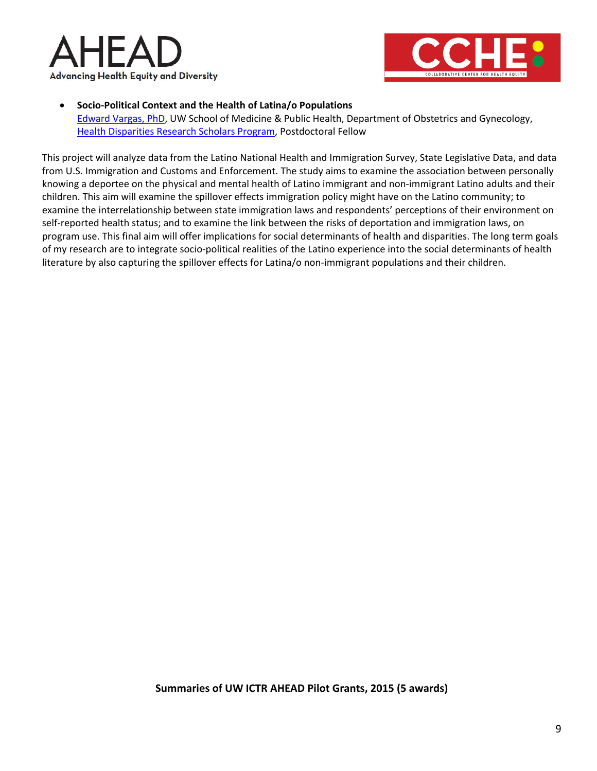



#### • **Socio-Political Context and the Health of Latina/o Populations**

[Edward Vargas, PhD,](https://www.obgyn.wisc.edu/CWHDR/HDRS/associates.aspx) UW School of Medicine & Public Health, Department of Obstetrics and Gynecology, [Health Disparities Research Scholars Program,](http://obgyn.wisc.edu/CWHDR/HDRS/default.aspx) Postdoctoral Fellow

This project will analyze data from the Latino National Health and Immigration Survey, State Legislative Data, and data from U.S. Immigration and Customs and Enforcement. The study aims to examine the association between personally knowing a deportee on the physical and mental health of Latino immigrant and non-immigrant Latino adults and their children. This aim will examine the spillover effects immigration policy might have on the Latino community; to examine the interrelationship between state immigration laws and respondents' perceptions of their environment on self-reported health status; and to examine the link between the risks of deportation and immigration laws, on program use. This final aim will offer implications for social determinants of health and disparities. The long term goals of my research are to integrate socio-political realities of the Latino experience into the social determinants of health literature by also capturing the spillover effects for Latina/o non-immigrant populations and their children.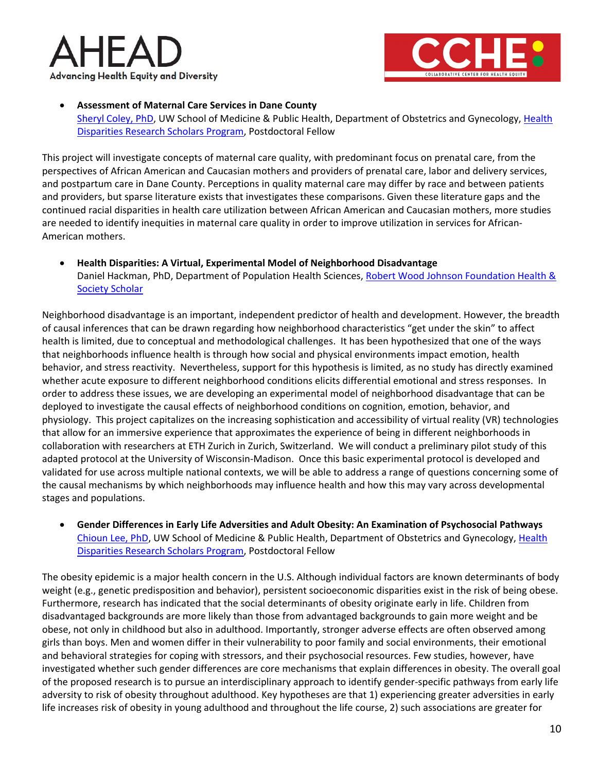



• **Assessment of Maternal Care Services in Dane County** [Sheryl Coley, PhD,](https://www.obgyn.wisc.edu/CWHDR/HDRS/associates.aspx) UW School of Medicine & Public Health, Department of Obstetrics and Gynecology, [Health](http://obgyn.wisc.edu/CWHDR/HDRS/default.aspx)  [Disparities Research Scholars Program,](http://obgyn.wisc.edu/CWHDR/HDRS/default.aspx) Postdoctoral Fellow

This project will investigate concepts of maternal care quality, with predominant focus on prenatal care, from the perspectives of African American and Caucasian mothers and providers of prenatal care, labor and delivery services, and postpartum care in Dane County. Perceptions in quality maternal care may differ by race and between patients and providers, but sparse literature exists that investigates these comparisons. Given these literature gaps and the continued racial disparities in health care utilization between African American and Caucasian mothers, more studies are needed to identify inequities in maternal care quality in order to improve utilization in services for African-American mothers.

• **Health Disparities: A Virtual, Experimental Model of Neighborhood Disadvantage** Daniel Hackman, PhD, Department of Population Health Sciences, [Robert Wood Johnson Foundation Health &](https://rwjscholars.pophealth.wisc.edu/scholars.htm)  **[Society Scholar](https://rwjscholars.pophealth.wisc.edu/scholars.htm)** 

Neighborhood disadvantage is an important, independent predictor of health and development. However, the breadth of causal inferences that can be drawn regarding how neighborhood characteristics "get under the skin" to affect health is limited, due to conceptual and methodological challenges. It has been hypothesized that one of the ways that neighborhoods influence health is through how social and physical environments impact emotion, health behavior, and stress reactivity. Nevertheless, support for this hypothesis is limited, as no study has directly examined whether acute exposure to different neighborhood conditions elicits differential emotional and stress responses. In order to address these issues, we are developing an experimental model of neighborhood disadvantage that can be deployed to investigate the causal effects of neighborhood conditions on cognition, emotion, behavior, and physiology. This project capitalizes on the increasing sophistication and accessibility of virtual reality (VR) technologies that allow for an immersive experience that approximates the experience of being in different neighborhoods in collaboration with researchers at ETH Zurich in Zurich, Switzerland. We will conduct a preliminary pilot study of this adapted protocol at the University of Wisconsin-Madison. Once this basic experimental protocol is developed and validated for use across multiple national contexts, we will be able to address a range of questions concerning some of the causal mechanisms by which neighborhoods may influence health and how this may vary across developmental stages and populations.

• **Gender Differences in Early Life Adversities and Adult Obesity: An Examination of Psychosocial Pathways** [Chioun Lee, PhD,](https://www.obgyn.wisc.edu/CWHDR/HDRS/associates.aspx) UW School of Medicine & Public Health, Department of Obstetrics and Gynecology, Health [Disparities Research Scholars Program,](http://obgyn.wisc.edu/CWHDR/HDRS/default.aspx) Postdoctoral Fellow

The obesity epidemic is a major health concern in the U.S. Although individual factors are known determinants of body weight (e.g., genetic predisposition and behavior), persistent socioeconomic disparities exist in the risk of being obese. Furthermore, research has indicated that the social determinants of obesity originate early in life. Children from disadvantaged backgrounds are more likely than those from advantaged backgrounds to gain more weight and be obese, not only in childhood but also in adulthood. Importantly, stronger adverse effects are often observed among girls than boys. Men and women differ in their vulnerability to poor family and social environments, their emotional and behavioral strategies for coping with stressors, and their psychosocial resources. Few studies, however, have investigated whether such gender differences are core mechanisms that explain differences in obesity. The overall goal of the proposed research is to pursue an interdisciplinary approach to identify gender-specific pathways from early life adversity to risk of obesity throughout adulthood. Key hypotheses are that 1) experiencing greater adversities in early life increases risk of obesity in young adulthood and throughout the life course, 2) such associations are greater for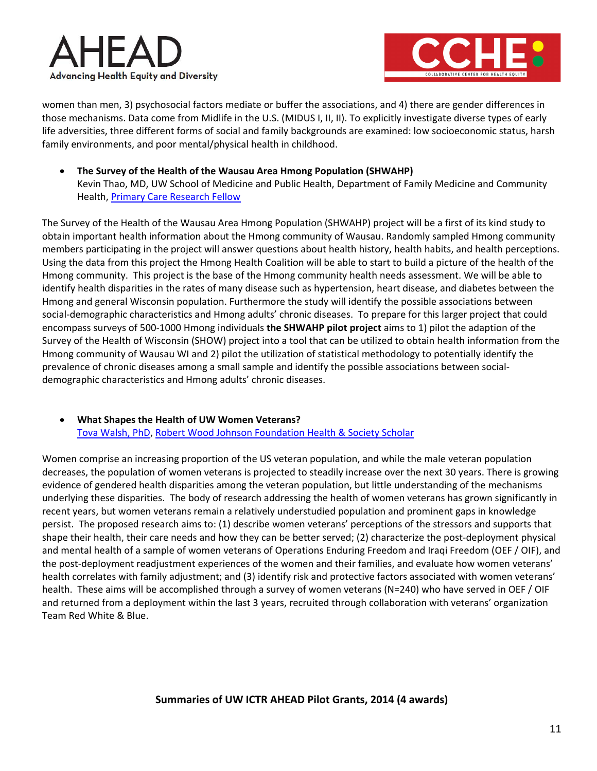



women than men, 3) psychosocial factors mediate or buffer the associations, and 4) there are gender differences in those mechanisms. Data come from Midlife in the U.S. (MIDUS I, II, II). To explicitly investigate diverse types of early life adversities, three different forms of social and family backgrounds are examined: low socioeconomic status, harsh family environments, and poor mental/physical health in childhood.

• **The Survey of the Health of the Wausau Area Hmong Population (SHWAHP)** Kevin Thao, MD, UW School of Medicine and Public Health, Department of Family Medicine and Community Health, [Primary Care Research Fellow](http://www.fammed.wisc.edu/fellowships/primary-care-research/)

The Survey of the Health of the Wausau Area Hmong Population (SHWAHP) project will be a first of its kind study to obtain important health information about the Hmong community of Wausau. Randomly sampled Hmong community members participating in the project will answer questions about health history, health habits, and health perceptions. Using the data from this project the Hmong Health Coalition will be able to start to build a picture of the health of the Hmong community. This project is the base of the Hmong community health needs assessment. We will be able to identify health disparities in the rates of many disease such as hypertension, heart disease, and diabetes between the Hmong and general Wisconsin population. Furthermore the study will identify the possible associations between social-demographic characteristics and Hmong adults' chronic diseases. To prepare for this larger project that could encompass surveys of 500-1000 Hmong individuals **the SHWAHP pilot project** aims to 1) pilot the adaption of the Survey of the Health of Wisconsin (SHOW) project into a tool that can be utilized to obtain health information from the Hmong community of Wausau WI and 2) pilot the utilization of statistical methodology to potentially identify the prevalence of chronic diseases among a small sample and identify the possible associations between socialdemographic characteristics and Hmong adults' chronic diseases.

## • **What Shapes the Health of UW Women Veterans?** [Tova Walsh, PhD, Robert Wood Johnson Foundation Health & Society Scholar](https://rwjscholars.pophealth.wisc.edu/scholars.htm)

Women comprise an increasing proportion of the US veteran population, and while the male veteran population decreases, the population of women veterans is projected to steadily increase over the next 30 years. There is growing evidence of gendered health disparities among the veteran population, but little understanding of the mechanisms underlying these disparities. The body of research addressing the health of women veterans has grown significantly in recent years, but women veterans remain a relatively understudied population and prominent gaps in knowledge persist. The proposed research aims to: (1) describe women veterans' perceptions of the stressors and supports that shape their health, their care needs and how they can be better served; (2) characterize the post-deployment physical and mental health of a sample of women veterans of Operations Enduring Freedom and Iraqi Freedom (OEF / OIF), and the post-deployment readjustment experiences of the women and their families, and evaluate how women veterans' health correlates with family adjustment; and (3) identify risk and protective factors associated with women veterans' health. These aims will be accomplished through a survey of women veterans (N=240) who have served in OEF / OIF and returned from a deployment within the last 3 years, recruited through collaboration with veterans' organization Team Red White & Blue.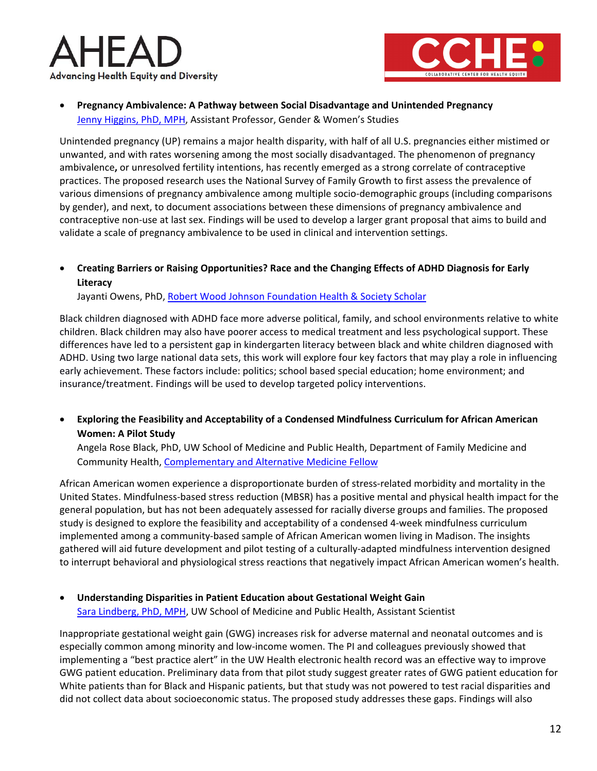



• **Pregnancy Ambivalence: A Pathway between Social Disadvantage and Unintended Pregnancy** [Jenny Higgins,](https://gws.wisc.edu/staff/higgins-jenny/) PhD, MPH, Assistant Professor, Gender & Women's Studies

Unintended pregnancy (UP) remains a major health disparity, with half of all U.S. pregnancies either mistimed or unwanted, and with rates worsening among the most socially disadvantaged. The phenomenon of pregnancy ambivalence**,** or unresolved fertility intentions, has recently emerged as a strong correlate of contraceptive practices. The proposed research uses the National Survey of Family Growth to first assess the prevalence of various dimensions of pregnancy ambivalence among multiple socio-demographic groups (including comparisons by gender), and next, to document associations between these dimensions of pregnancy ambivalence and contraceptive non-use at last sex. Findings will be used to develop a larger grant proposal that aims to build and validate a scale of pregnancy ambivalence to be used in clinical and intervention settings.

• **Creating Barriers or Raising Opportunities? Race and the Changing Effects of ADHD Diagnosis for Early Literacy**

Jayanti Owens, PhD, [Robert Wood Johnson Foundation Health & Society Scholar](https://rwjscholars.pophealth.wisc.edu/scholars.htm)

Black children diagnosed with ADHD face more adverse political, family, and school environments relative to white children. Black children may also have poorer access to medical treatment and less psychological support. These differences have led to a persistent gap in kindergarten literacy between black and white children diagnosed with ADHD. Using two large national data sets, this work will explore four key factors that may play a role in influencing early achievement. These factors include: politics; school based special education; home environment; and insurance/treatment. Findings will be used to develop targeted policy interventions.

• **Exploring the Feasibility and Acceptability of a Condensed Mindfulness Curriculum for African American Women: A Pilot Study**

Angela Rose Black, PhD, UW School of Medicine and Public Health, Department of Family Medicine and Community Health, [Complementary and Alternative Medicine Fellow](https://www.fammed.wisc.edu/fellowships/)

African American women experience a disproportionate burden of stress-related morbidity and mortality in the United States. Mindfulness-based stress reduction (MBSR) has a positive mental and physical health impact for the general population, but has not been adequately assessed for racially diverse groups and families. The proposed study is designed to explore the feasibility and acceptability of a condensed 4-week mindfulness curriculum implemented among a community-based sample of African American women living in Madison. The insights gathered will aid future development and pilot testing of a culturally-adapted mindfulness intervention designed to interrupt behavioral and physiological stress reactions that negatively impact African American women's health.

• **Understanding Disparities in Patient Education about Gestational Weight Gain** [Sara Lindberg, PhD, MPH,](https://uwphi.pophealth.wisc.edu/staff/lindberg-sara/) UW School of Medicine and Public Health, Assistant Scientist

Inappropriate gestational weight gain (GWG) increases risk for adverse maternal and neonatal outcomes and is especially common among minority and low-income women. The PI and colleagues previously showed that implementing a "best practice alert" in the UW Health electronic health record was an effective way to improve GWG patient education. Preliminary data from that pilot study suggest greater rates of GWG patient education for White patients than for Black and Hispanic patients, but that study was not powered to test racial disparities and did not collect data about socioeconomic status. The proposed study addresses these gaps. Findings will also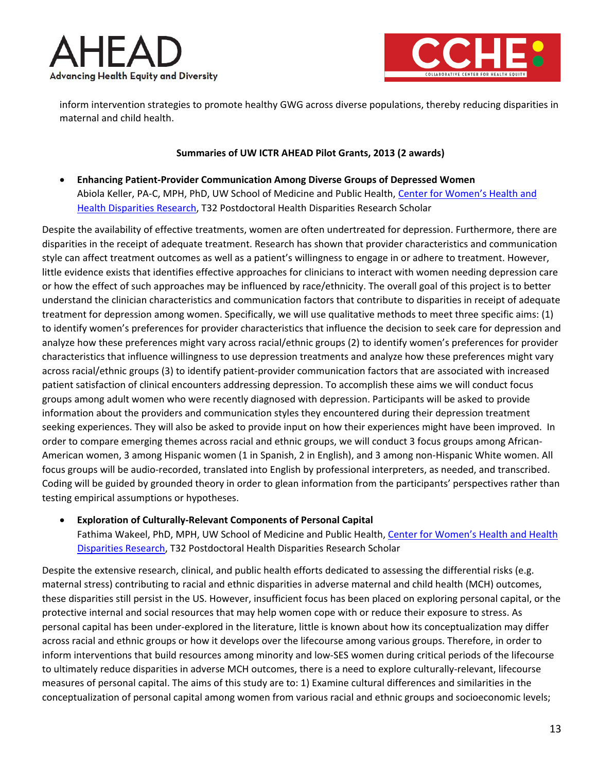



inform intervention strategies to promote healthy GWG across diverse populations, thereby reducing disparities in maternal and child health.

#### **Summaries of UW ICTR AHEAD Pilot Grants, 2013 (2 awards)**

• **Enhancing Patient-Provider Communication Among Diverse Groups of Depressed Women** Abiola Keller, PA-C, MPH, PhD, UW School of Medicine and Public Health, [Center for Women's Health and](http://www.obgyn.wisc.edu/CWHDR/)  [Health Disparities Research,](http://www.obgyn.wisc.edu/CWHDR/) T32 Postdoctoral Health Disparities Research Scholar

Despite the availability of effective treatments, women are often undertreated for depression. Furthermore, there are disparities in the receipt of adequate treatment. Research has shown that provider characteristics and communication style can affect treatment outcomes as well as a patient's willingness to engage in or adhere to treatment. However, little evidence exists that identifies effective approaches for clinicians to interact with women needing depression care or how the effect of such approaches may be influenced by race/ethnicity. The overall goal of this project is to better understand the clinician characteristics and communication factors that contribute to disparities in receipt of adequate treatment for depression among women. Specifically, we will use qualitative methods to meet three specific aims: (1) to identify women's preferences for provider characteristics that influence the decision to seek care for depression and analyze how these preferences might vary across racial/ethnic groups (2) to identify women's preferences for provider characteristics that influence willingness to use depression treatments and analyze how these preferences might vary across racial/ethnic groups (3) to identify patient-provider communication factors that are associated with increased patient satisfaction of clinical encounters addressing depression. To accomplish these aims we will conduct focus groups among adult women who were recently diagnosed with depression. Participants will be asked to provide information about the providers and communication styles they encountered during their depression treatment seeking experiences. They will also be asked to provide input on how their experiences might have been improved. In order to compare emerging themes across racial and ethnic groups, we will conduct 3 focus groups among African-American women, 3 among Hispanic women (1 in Spanish, 2 in English), and 3 among non-Hispanic White women. All focus groups will be audio-recorded, translated into English by professional interpreters, as needed, and transcribed. Coding will be guided by grounded theory in order to glean information from the participants' perspectives rather than testing empirical assumptions or hypotheses.

• **Exploration of Culturally-Relevant Components of Personal Capital**

Fathima Wakeel, PhD, MPH, UW School of Medicine and Public Health, [Center for Women's Health and Health](http://www.obgyn.wisc.edu/CWHDR/)  [Disparities Research,](http://www.obgyn.wisc.edu/CWHDR/) T32 Postdoctoral Health Disparities Research Scholar

Despite the extensive research, clinical, and public health efforts dedicated to assessing the differential risks (e.g. maternal stress) contributing to racial and ethnic disparities in adverse maternal and child health (MCH) outcomes, these disparities still persist in the US. However, insufficient focus has been placed on exploring personal capital, or the protective internal and social resources that may help women cope with or reduce their exposure to stress. As personal capital has been under-explored in the literature, little is known about how its conceptualization may differ across racial and ethnic groups or how it develops over the lifecourse among various groups. Therefore, in order to inform interventions that build resources among minority and low-SES women during critical periods of the lifecourse to ultimately reduce disparities in adverse MCH outcomes, there is a need to explore culturally-relevant, lifecourse measures of personal capital. The aims of this study are to: 1) Examine cultural differences and similarities in the conceptualization of personal capital among women from various racial and ethnic groups and socioeconomic levels;